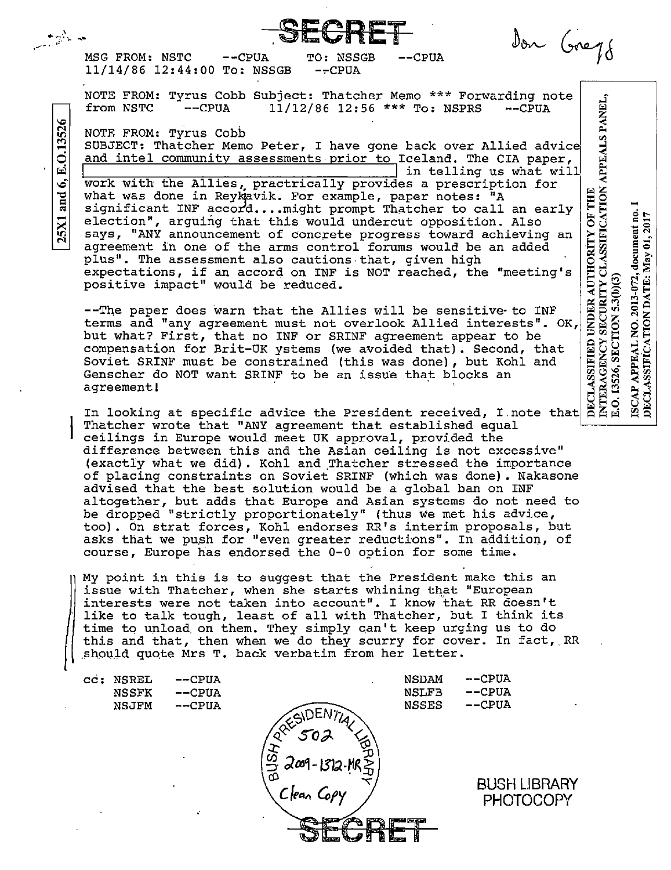Don Greys MSG FROM: NSTC  $--CPUA$  $-$ CPUA TO: NSSGB 11/14/86 12:44:00 To: NSSGB  $-$ -CPUA NOTE FROM: Tyrus Cobb Subject: Thatcher Memo \*\*\* Forwarding note APPEALS PANEL, from NSTC  $--CPIIA$ 11/12/86 12:56 \*\*\* To: NSPRS  $-CPUA$ NOTE FROM: Tyrus Cobb SUBJECT: Thatcher Memo Peter, I have gone back over Allied advice and intel community assessments prior to Iceland. The CIA paper, in telling us what will work with the Allies, practrically provides a prescription for DECLASSIFIED UNDER AUTHORITY OF THE<br>INTERAGENCY SECURITY CLASSIFICATION what was done in Reykavik. For example, paper notes: "A significant INF accord.... might prompt Thatcher to call an early document no.

election", arguing that this would undercut opposition. Also says, "ANY announcement of concrete progress toward achieving an agreement in one of the arms control forums would be an added plus". The assessment also cautions that, given high expectations, if an accord on INF is NOT reached, the "meeting's positive impact" would be reduced.

0.13526

Ā

.<br>فا

and

25X1

--The paper does warn that the Allies will be sensitive to INF terms and "any agreement must not overlook Allied interests". OK, but what? First, that no INF or SRINF agreement appear to be compensation for Brit-UK ystems (we avoided that). Second, that Soviet SRINF must be constrained (this was done), but Kohl and Genscher do NOT want SRINF to be an issue that blocks an agreement!

DECLASSIFICATION DATE: May 01, 2017

2013-072,

 $\frac{1}{2}$ 

**APPEAL** 

ISCAP.

E.O. 13526, SECTION 5.3(b)(3)

In looking at specific advice the President received, I note that Thatcher wrote that "ANY agreement that established equal ceilings in Europe would meet UK approval, provided the difference between this and the Asian ceiling is not excessive" (exactly what we did). Kohl and Thatcher stressed the importance of placing constraints on Soviet SRINF (which was done). Nakasone advised that the best solution would be a global ban on INF altogether, but adds that Europe and Asian systems do not need to be dropped "strictly proportionately" (thus we met his advice, too). On strat forces, Kohl endorses RR's interim proposals, but asks that we push for "even greater reductions". In addition, of course, Europe has endorsed the 0-0 option for some time.

My point in this is to suggest that the President make this an issue with Thatcher, when she starts whining that "European interests were not taken into account". I know that RR doesn't like to talk tough, least of all with Thatcher, but I think its time to unload on them. They simply can't keep urging us to do this and that, then when we do they scurry for cover. In fact, RR should quote Mrs T. back verbatim from her letter.

**NSDAM** --CPUA cc: NSREL  $-$ CPUA  $-$ CPUA  $-$ CPUA **NSLFB NSSFK**  $-$ CPUA  $--CPUA$ **NSSES** NSJFM **BUSH LIBRARY PHOTOCOPY**